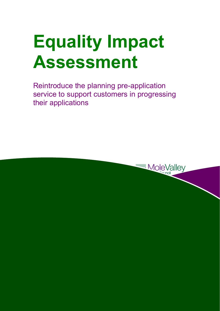# **Equality Impact Assessment**

Reintroduce the planning pre-application service to support customers in progressing their applications

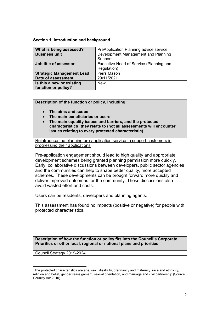#### **Section 1: Introduction and background**

| What is being assessed?          | PreApplication Planning advice service  |  |  |
|----------------------------------|-----------------------------------------|--|--|
| <b>Business unit</b>             | Development Management and Planning     |  |  |
|                                  | Support                                 |  |  |
| Job title of assessor            | Executive Head of Service (Planning and |  |  |
|                                  | Regulation)                             |  |  |
| <b>Strategic Management Lead</b> | Piers Mason                             |  |  |
| Date of assessment               | 29/11/2021                              |  |  |
| Is this a new or existing        | <b>New</b>                              |  |  |
| function or policy?              |                                         |  |  |

### **Description of the function or policy, including:**

- **The aims and scope**
- **The main beneficiaries or users**
- **The main equality issues and barriers, and the protected characteristics**<sup>1</sup> **they relate to (not all assessments will encounter issues relating to every protected characteristic)**

progressing their applications Reintroduce the planning pre-application service to support customers in

Pre-application engagement should lead to high quality and appropriate development schemes being granted planning permission more quickly. Early, collaborative discussions between developers, public sector agencies and the communities can help to shape better quality, more accepted schemes. These developments can be brought forward more quickly and deliver improved outcomes for the community. These discussions also avoid wasted effort and costs.

Users can be residents, developers and planning agents.

This assessment has found no impacts (positive or negative) for people with protected characteristics.

**Description of how the function or policy fits into the Council's Corporate Priorities or other local, regional or national plans and priorities** 

Council Strategy 2019-2024

l

<sup>1</sup>The protected characteristics are age, sex, disability, pregnancy and maternity, race and ethnicity, religion and belief, gender reassignment, sexual orientation, and marriage and civil partnership (Source: Equality Act 2010)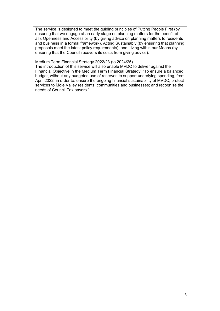The service is designed to meet the guiding principles of Putting People First (by ensuring that we engage at an early stage on planning matters for the benefit of all), Openness and Accessibility (by giving advice on planning matters to residents and business in a formal framework), Acting Sustainably (by ensuring that planning proposals meet the latest policy requirements), and Living within our Means (by ensuring that the Council recovers its costs from giving advice).

#### Medium Term Financial Strategy 2022/23 (to 2024/25)

The introduction of this service will also enable MVDC to deliver against the Financial Objective in the Medium Term Financial Strategy: "To ensure a balanced budget, without any budgeted use of reserves to support underlying spending, from April 2022, in order to: ensure the ongoing financial sustainability of MVDC; protect services to Mole Valley residents, communities and businesses; and recognise the needs of Council Tax payers."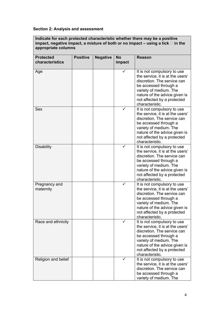## **Section 2: Analysis and assessment**

**Indicate for each protected characteristic whether there may be a positive impact, negative impact, a mixture of both or no impact – using a tick in the appropriate columns** 

| <b>Protected</b>           | <b>Positive</b> | <b>Negative</b> | <b>No</b> | <b>Reason</b>                                                                                                                                                                                                                        |
|----------------------------|-----------------|-----------------|-----------|--------------------------------------------------------------------------------------------------------------------------------------------------------------------------------------------------------------------------------------|
| characteristics            |                 |                 | impact    |                                                                                                                                                                                                                                      |
| Age                        |                 |                 | ✓         | It is not compulsory to use<br>the service, it is at the users'<br>discretion. The service can<br>be accessed through a<br>variety of medium. The<br>nature of the advice given is<br>not affected by a protected<br>characteristic. |
| <b>Sex</b>                 |                 |                 | ✓         | It is not compulsory to use<br>the service, it is at the users'<br>discretion. The service can<br>be accessed through a<br>variety of medium. The<br>nature of the advice given is<br>not affected by a protected<br>characteristic. |
| <b>Disability</b>          |                 |                 | ✓         | It is not compulsory to use<br>the service, it is at the users'<br>discretion. The service can<br>be accessed through a<br>variety of medium. The<br>nature of the advice given is<br>not affected by a protected<br>characteristic. |
| Pregnancy and<br>maternity |                 |                 |           | It is not compulsory to use<br>the service, it is at the users'<br>discretion. The service can<br>be accessed through a<br>variety of medium. The<br>nature of the advice given is<br>not affected by a protected<br>characteristic. |
| Race and ethnicity         |                 |                 |           | It is not compulsory to use<br>the service, it is at the users'<br>discretion. The service can<br>be accessed through a<br>variety of medium. The<br>nature of the advice given is<br>not affected by a protected<br>characteristic. |
| Religion and belief        |                 |                 |           | It is not compulsory to use<br>the service, it is at the users'<br>discretion. The service can<br>be accessed through a<br>variety of medium. The                                                                                    |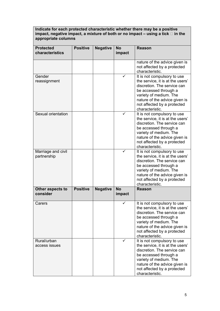**Indicate for each protected characteristic whether there may be a positive impact, negative impact, a mixture of both or no impact – using a tick in the appropriate columns** 

| <b>Protected</b><br>characteristics | <b>Positive</b> | <b>Negative</b> | <b>No</b><br>impact | <b>Reason</b>                                                                                                                                                                                                                        |
|-------------------------------------|-----------------|-----------------|---------------------|--------------------------------------------------------------------------------------------------------------------------------------------------------------------------------------------------------------------------------------|
|                                     |                 |                 |                     | nature of the advice given is<br>not affected by a protected<br>characteristic.                                                                                                                                                      |
| Gender<br>reassignment              |                 |                 |                     | It is not compulsory to use<br>the service, it is at the users'<br>discretion. The service can<br>be accessed through a<br>variety of medium. The<br>nature of the advice given is<br>not affected by a protected<br>characteristic. |
| Sexual orientation                  |                 |                 |                     | It is not compulsory to use<br>the service, it is at the users'<br>discretion. The service can<br>be accessed through a<br>variety of medium. The<br>nature of the advice given is<br>not affected by a protected<br>characteristic. |
| Marriage and civil<br>partnership   |                 |                 |                     | It is not compulsory to use<br>the service, it is at the users'<br>discretion. The service can<br>be accessed through a<br>variety of medium. The<br>nature of the advice given is<br>not affected by a protected<br>characteristic. |
| Other aspects to<br>consider        | <b>Positive</b> | <b>Negative</b> | <b>No</b><br>impact | <b>Reason</b>                                                                                                                                                                                                                        |
| Carers                              |                 |                 |                     | It is not compulsory to use<br>the service, it is at the users'<br>discretion. The service can<br>be accessed through a<br>variety of medium. The<br>nature of the advice given is<br>not affected by a protected<br>characteristic. |
| Rural/urban<br>access issues        |                 |                 | ✓                   | It is not compulsory to use<br>the service, it is at the users'<br>discretion. The service can<br>be accessed through a<br>variety of medium. The<br>nature of the advice given is<br>not affected by a protected<br>characteristic. |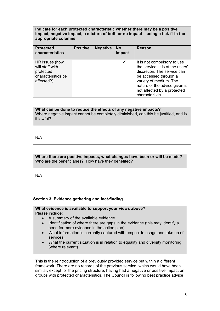#### **Indicate for each protected characteristic whether there may be a positive**  impact, negative impact, a mixture of both or no impact  $-$  using a tick  $\Box$  in the **appropriate columns**

| <b>Protected</b><br>characteristics                                                | <b>Positive</b> | <b>Negative</b> | <b>No</b><br>impact | <b>Reason</b>                                                                                                                                                                                                                        |
|------------------------------------------------------------------------------------|-----------------|-----------------|---------------------|--------------------------------------------------------------------------------------------------------------------------------------------------------------------------------------------------------------------------------------|
| HR issues (how<br>will staff with<br>protected<br>characteristics be<br>affected?) |                 |                 |                     | It is not compulsory to use<br>the service, it is at the users'<br>discretion. The service can<br>be accessed through a<br>variety of medium. The<br>nature of the advice given is<br>not affected by a protected<br>characteristic. |

## **What can be done to reduce the effects of any negative impacts?**

Where negative impact cannot be completely diminished, can this be justified, and is it lawful?

N/A

**Where there are positive impacts, what changes have been or will be made?**  Who are the beneficiaries? How have they benefited?

N/A

## **Section 3: Evidence gathering and fact-finding**

#### **What evidence is available to support your views above?**  Please include:

- A summary of the available evidence
- Identification of where there are gaps in the evidence (this may identify a need for more evidence in the action plan)
- What information is currently captured with respect to usage and take up of **services**
- What the current situation is in relation to equality and diversity monitoring (where relevant)

This is the reintroduction of a previously provided service but within a different framework. There are no records of the previous service, which would have been similar, except for the pricing structure, having had a negative or positive impact on groups with protected characteristics. The Council is following best practice advice